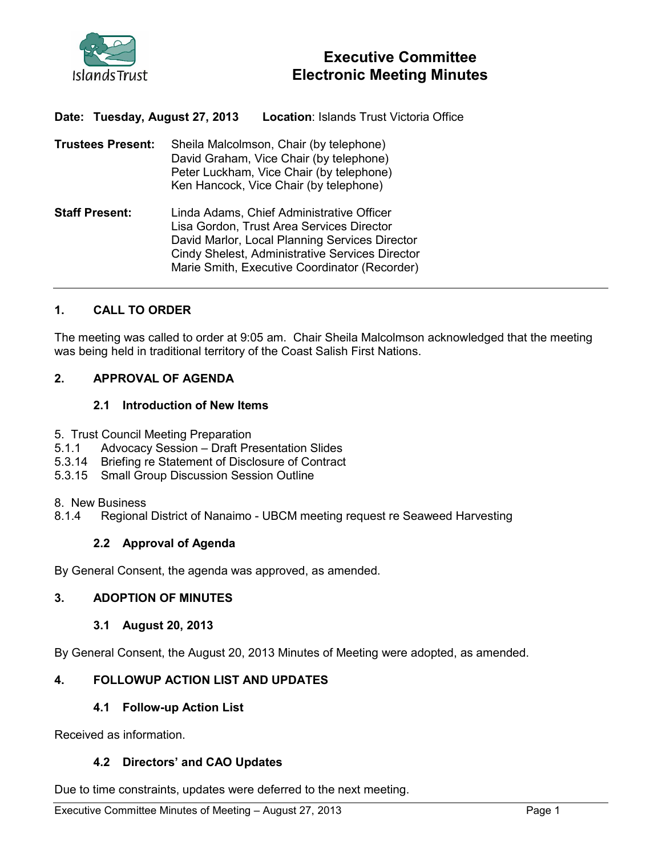

# Executive Committee Electronic Meeting Minutes

Date: Tuesday, August 27, 2013 Location: Islands Trust Victoria Office

Trustees Present: Sheila Malcolmson, Chair (by telephone) David Graham, Vice Chair (by telephone) Peter Luckham, Vice Chair (by telephone) Ken Hancock, Vice Chair (by telephone) Staff Present: Linda Adams, Chief Administrative Officer Lisa Gordon, Trust Area Services Director David Marlor, Local Planning Services Director Cindy Shelest, Administrative Services Director

### 1. CALL TO ORDER

The meeting was called to order at 9:05 am. Chair Sheila Malcolmson acknowledged that the meeting was being held in traditional territory of the Coast Salish First Nations.

Marie Smith, Executive Coordinator (Recorder)

### 2. APPROVAL OF AGENDA

#### 2.1 Introduction of New Items

- 5. Trust Council Meeting Preparation
- 5.1.1 Advocacy Session Draft Presentation Slides
- 5.3.14 Briefing re Statement of Disclosure of Contract
- 5.3.15 Small Group Discussion Session Outline
- 8. New Business
- 8.1.4 Regional District of Nanaimo UBCM meeting request re Seaweed Harvesting

### 2.2 Approval of Agenda

By General Consent, the agenda was approved, as amended.

### 3. ADOPTION OF MINUTES

3.1 August 20, 2013

By General Consent, the August 20, 2013 Minutes of Meeting were adopted, as amended.

### 4. FOLLOWUP ACTION LIST AND UPDATES

#### 4.1 Follow-up Action List

Received as information.

#### 4.2 Directors' and CAO Updates

Due to time constraints, updates were deferred to the next meeting.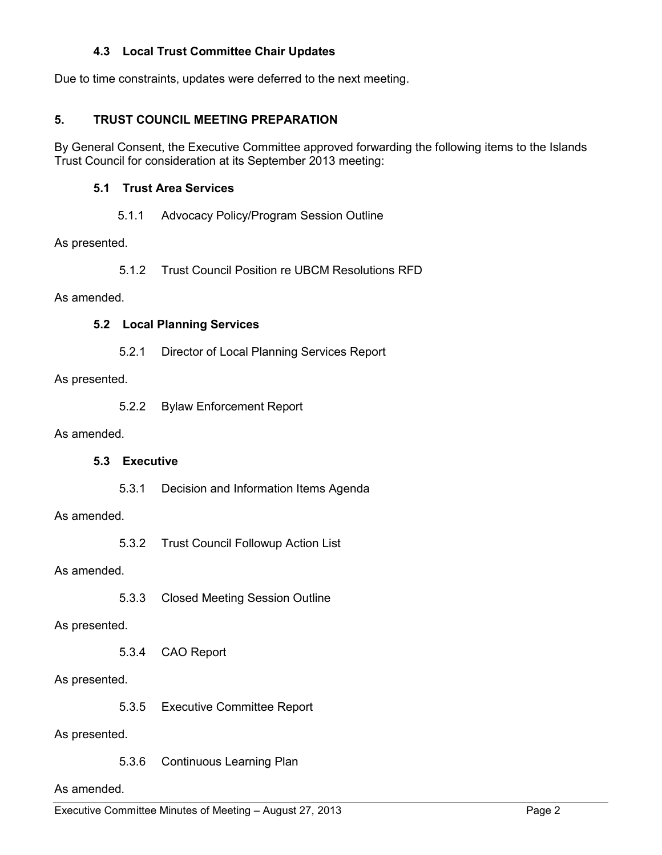### 4.3 Local Trust Committee Chair Updates

Due to time constraints, updates were deferred to the next meeting.

### 5. TRUST COUNCIL MEETING PREPARATION

By General Consent, the Executive Committee approved forwarding the following items to the Islands Trust Council for consideration at its September 2013 meeting:

### 5.1 Trust Area Services

### 5.1.1 Advocacy Policy/Program Session Outline

As presented.

5.1.2 Trust Council Position re UBCM Resolutions RFD

As amended.

### 5.2 Local Planning Services

5.2.1 Director of Local Planning Services Report

As presented.

5.2.2 Bylaw Enforcement Report

#### As amended.

# 5.3 Executive

5.3.1 Decision and Information Items Agenda

As amended.

5.3.2 Trust Council Followup Action List

### As amended.

5.3.3 Closed Meeting Session Outline

### As presented.

5.3.4 CAO Report

### As presented.

5.3.5 Executive Committee Report

As presented.

5.3.6 Continuous Learning Plan

#### As amended.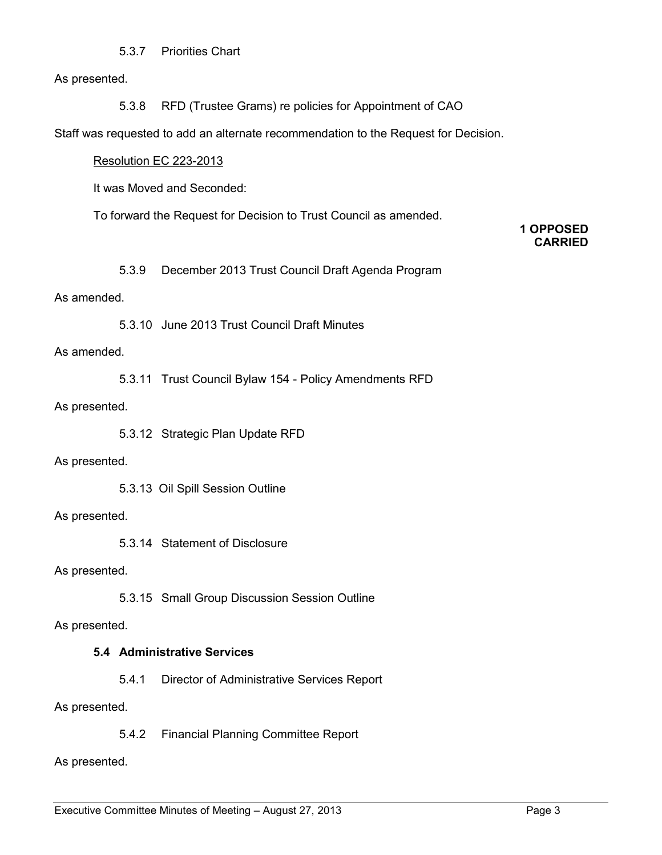### 5.3.7 Priorities Chart

As presented.

5.3.8 RFD (Trustee Grams) re policies for Appointment of CAO

Staff was requested to add an alternate recommendation to the Request for Decision.

#### Resolution EC 223-2013

It was Moved and Seconded:

To forward the Request for Decision to Trust Council as amended.

### 1 OPPOSED CARRIED

5.3.9 December 2013 Trust Council Draft Agenda Program

### As amended.

5.3.10 June 2013 Trust Council Draft Minutes

#### As amended.

5.3.11 Trust Council Bylaw 154 - Policy Amendments RFD

#### As presented.

5.3.12 Strategic Plan Update RFD

### As presented.

5.3.13 Oil Spill Session Outline

### As presented.

5.3.14 Statement of Disclosure

As presented.

5.3.15 Small Group Discussion Session Outline

As presented.

### 5.4 Administrative Services

5.4.1 Director of Administrative Services Report

As presented.

5.4.2 Financial Planning Committee Report

As presented.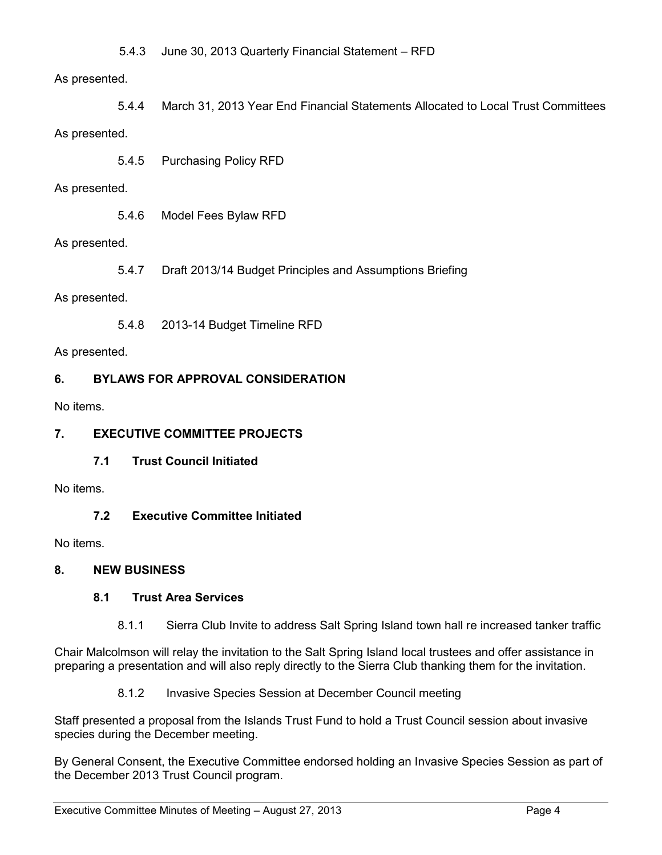5.4.3 June 30, 2013 Quarterly Financial Statement – RFD

# As presented.

5.4.4 March 31, 2013 Year End Financial Statements Allocated to Local Trust Committees As presented.

5.4.5 Purchasing Policy RFD

### As presented.

5.4.6 Model Fees Bylaw RFD

As presented.

5.4.7 Draft 2013/14 Budget Principles and Assumptions Briefing

As presented.

5.4.8 2013-14 Budget Timeline RFD

As presented.

# 6. BYLAWS FOR APPROVAL CONSIDERATION

No items.

# 7. EXECUTIVE COMMITTEE PROJECTS

7.1 Trust Council Initiated

No items.

7.2 Executive Committee Initiated

No items.

# 8. NEW BUSINESS

# 8.1 Trust Area Services

8.1.1 Sierra Club Invite to address Salt Spring Island town hall re increased tanker traffic

Chair Malcolmson will relay the invitation to the Salt Spring Island local trustees and offer assistance in preparing a presentation and will also reply directly to the Sierra Club thanking them for the invitation.

8.1.2 Invasive Species Session at December Council meeting

Staff presented a proposal from the Islands Trust Fund to hold a Trust Council session about invasive species during the December meeting.

By General Consent, the Executive Committee endorsed holding an Invasive Species Session as part of the December 2013 Trust Council program.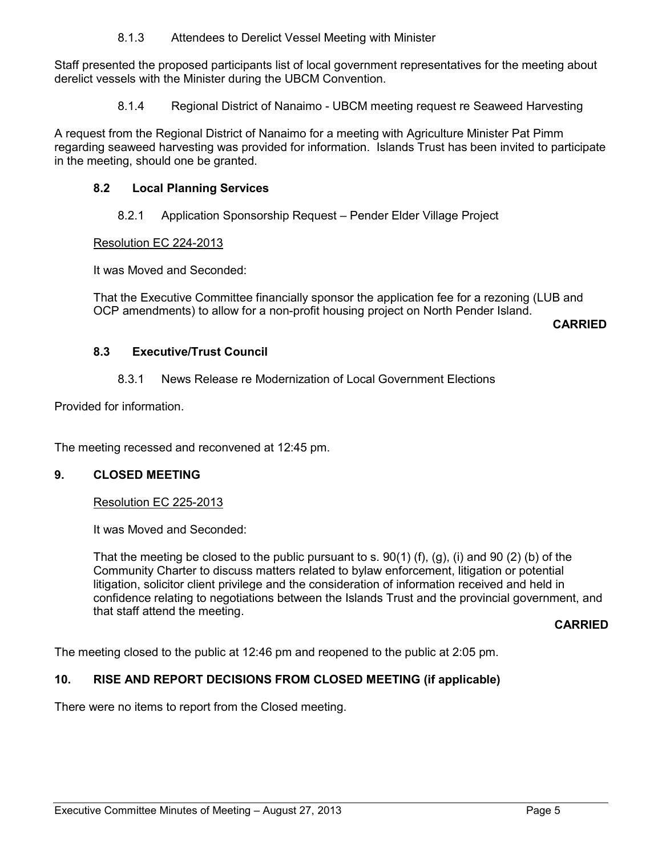8.1.3 Attendees to Derelict Vessel Meeting with Minister

Staff presented the proposed participants list of local government representatives for the meeting about derelict vessels with the Minister during the UBCM Convention.

8.1.4 Regional District of Nanaimo - UBCM meeting request re Seaweed Harvesting

A request from the Regional District of Nanaimo for a meeting with Agriculture Minister Pat Pimm regarding seaweed harvesting was provided for information. Islands Trust has been invited to participate in the meeting, should one be granted.

# 8.2 Local Planning Services

8.2.1 Application Sponsorship Request – Pender Elder Village Project

# Resolution EC 224-2013

It was Moved and Seconded:

That the Executive Committee financially sponsor the application fee for a rezoning (LUB and OCP amendments) to allow for a non-profit housing project on North Pender Island.

CARRIED

# 8.3 Executive/Trust Council

# 8.3.1 News Release re Modernization of Local Government Elections

Provided for information.

The meeting recessed and reconvened at 12:45 pm.

### 9. CLOSED MEETING

# Resolution EC 225-2013

It was Moved and Seconded:

That the meeting be closed to the public pursuant to s.  $90(1)$  (f), (g), (i) and  $90(2)$  (b) of the Community Charter to discuss matters related to bylaw enforcement, litigation or potential litigation, solicitor client privilege and the consideration of information received and held in confidence relating to negotiations between the Islands Trust and the provincial government, and that staff attend the meeting.

### CARRIED

The meeting closed to the public at 12:46 pm and reopened to the public at 2:05 pm.

# 10. RISE AND REPORT DECISIONS FROM CLOSED MEETING (if applicable)

There were no items to report from the Closed meeting.